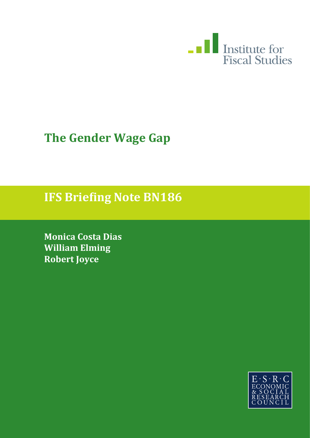

# **The Gender Wage Gap**

### **IFS Briefing Note BN186**

**Monica Costa Dias William Elming Robert Joyce**

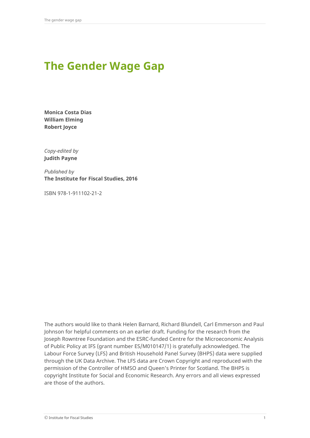## **The Gender Wage Gap**

**Monica Costa Dias William Elming Robert Joyce**

*Copy-edited by*  **Judith Payne**

*Published by* **The Institute for Fiscal Studies, 2016**

ISBN 978-1-911102-21-2

The authors would like to thank Helen Barnard, Richard Blundell, Carl Emmerson and Paul Johnson for helpful comments on an earlier draft. Funding for the research from the Joseph Rowntree Foundation and the ESRC-funded Centre for the Microeconomic Analysis of Public Policy at IFS (grant number ES/M010147/1) is gratefully acknowledged. The Labour Force Survey (LFS) and British Household Panel Survey (BHPS) data were supplied through the UK Data Archive. The LFS data are Crown Copyright and reproduced with the permission of the Controller of HMSO and Queen's Printer for Scotland. The BHPS is copyright Institute for Social and Economic Research. Any errors and all views expressed are those of the authors.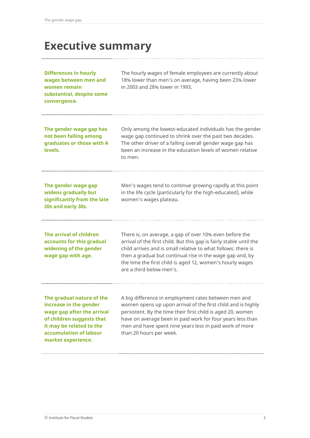### **Executive summary**

**Differences in hourly wages between men and women remain substantial, despite some convergence.**

The hourly wages of female employees are currently about 18% lower than men's on average, having been 23% lower in 2003 and 28% lower in 1993.

**The gender wage gap has not been falling among graduates or those with A levels.**

Only among the lowest-educated individuals has the gender wage gap continued to shrink over the past two decades. The other driver of a falling overall gender wage gap has been an increase in the education levels of women relative to men.

**The gender wage gap widens gradually but significantly from the late 20s and early 30s.**

Men's wages tend to continue growing rapidly at this point in the life cycle (particularly for the high-educated), while women's wages plateau.

**The arrival of children accounts for this gradual widening of the gender wage gap with age.**

There is, on average, a gap of over 10% even before the arrival of the first child. But this gap is fairly stable until the child arrives and is small relative to what follows: there is then a gradual but continual rise in the wage gap and, by the time the first child is aged 12, women's hourly wages are a third below men's.

**The gradual nature of the increase in the gender wage gap after the arrival of children suggests that it may be related to the accumulation of labour market experience.**

A big difference in employment rates between men and women opens up upon arrival of the first child and is highly persistent. By the time their first child is aged 20, women have on average been in paid work for four years less than men and have spent nine years less in paid work of more than 20 hours per week.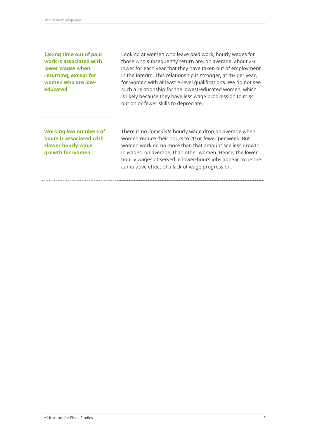**Taking time out of paid work is associated with lower wages when returning, except for women who are loweducated.**

Looking at women who leave paid work, hourly wages for those who subsequently return are, on average, about 2% lower for each year that they have taken out of employment in the interim. This relationship is stronger, at 4% per year, for women with at least A-level qualifications. We do not see such a relationship for the lowest-educated women, which is likely because they have less wage progression to miss out on or fewer skills to depreciate.

**Working low numbers of hours is associated with slower hourly wage growth for women.**

There is no *immediate* hourly wage drop on average when women reduce their hours to 20 or fewer per week. But women working no more than that amount see less growth in wages, on average, than other women. Hence, the lower hourly wages observed in lower-hours jobs appear to be the cumulative effect of a lack of wage progression.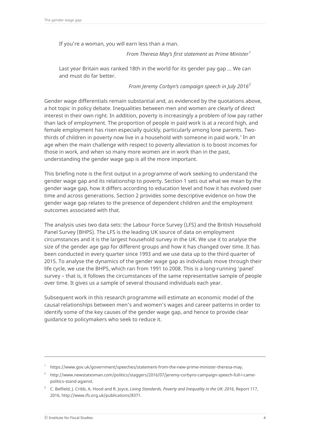If you're a woman, you will earn less than a man.

*From Theresa May's first statement as Prime Minister[1](#page-4-0)*

Last year Britain was ranked 18th in the world for its gender pay gap ... We can and must do far better.

*From Jeremy Corbyn's campaign speech in July 2016[2](#page-4-1)*

Gender wage differentials remain substantial and, as evidenced by the quotations above, a hot topic in policy debate. Inequalities between men and women are clearly of direct interest in their own right. In addition, poverty is increasingly a problem of low pay rather than lack of employment. The proportion of people in paid work is at a record high, and female employment has risen especially quickly, particularly among lone parents. Two-thirds of children in poverty now live in a household with someone in paid work.<sup>[3](#page-4-2)</sup> In an age when the main challenge with respect to poverty alleviation is to boost incomes for those in work, and when so many more women are in work than in the past, understanding the gender wage gap is all the more important.

This briefing note is the first output in a programme of work seeking to understand the gender wage gap and its relationship to poverty. Section 1 sets out what we mean by the gender wage gap, how it differs according to education level and how it has evolved over time and across generations. Section 2 provides some descriptive evidence on how the gender wage gap relates to the presence of dependent children and the employment outcomes associated with that.

The analysis uses two data sets: the Labour Force Survey (LFS) and the British Household Panel Survey (BHPS). The LFS is the leading UK source of data on employment circumstances and it is the largest household survey in the UK. We use it to analyse the size of the gender age gap for different groups and how it has changed over time. It has been conducted in every quarter since 1993 and we use data up to the third quarter of 2015. To analyse the dynamics of the gender wage gap as individuals move through their life cycle, we use the BHPS, which ran from 1991 to 2008. This is a long-running 'panel' survey – that is, it follows the circumstances of the same representative sample of people over time. It gives us a sample of several thousand individuals each year.

Subsequent work in this research programme will estimate an economic model of the causal relationships between men's and women's wages and career patterns in order to identify some of the key causes of the gender wage gap, and hence to provide clear guidance to policymakers who seek to reduce it.

<sup>&</sup>lt;sup>1</sup> https://www.gov.uk/government/speeches/statement-from-the-new-prime-minister-theresa-may.

<span id="page-4-1"></span><span id="page-4-0"></span><sup>2</sup> http://www.newstatesman.com/politics/staggers/2016/07/jeremy-corbyns-campaign-speech-full-i-camepolitics-stand-against.

<span id="page-4-2"></span><sup>3</sup> C. Belfield, J. Cribb, A. Hood and R. Joyce, *Living Standards, Poverty and Inequality in the UK: 2016*, Report 117, 2016, http://www.ifs.org.uk/publications/8371.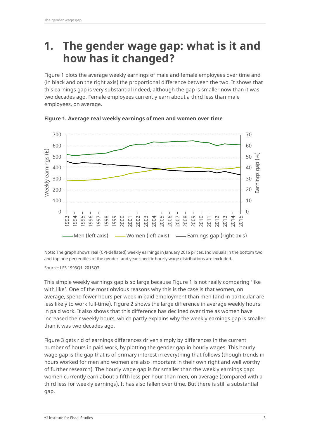### **1. The gender wage gap: what is it and how has it changed?**

Figure 1 plots the average weekly earnings of male and female employees over time and (in black and on the right axis) the proportional difference between the two. It shows that this earnings gap is very substantial indeed, although the gap is smaller now than it was two decades ago. Female employees currently earn about a third less than male employees, on average.



**Figure 1. Average real weekly earnings of men and women over time**

Note: The graph shows real (CPI-deflated) weekly earnings in January 2016 prices. Individuals in the bottom two and top one percentiles of the gender- and year-specific hourly wage distributions are excluded.

Source: LFS 1993Q1–2015Q3.

This simple weekly earnings gap is so large because Figure 1 is not really comparing 'like with like'. One of the most obvious reasons why this is the case is that women, on average, spend fewer hours per week in paid employment than men (and in particular are less likely to work full-time). Figure 2 shows the large difference in average weekly hours in paid work. It also shows that this difference has declined over time as women have increased their weekly hours, which partly explains why the weekly earnings gap is smaller than it was two decades ago.

Figure 3 gets rid of earnings differences driven simply by differences in the current number of hours in paid work, by plotting the gender gap in hourly wages. This hourly wage gap is the gap that is of primary interest in everything that follows (though trends in hours worked for men and women are also important in their own right and well worthy of further research). The hourly wage gap is far smaller than the weekly earnings gap: women currently earn about a fifth less per hour than men, on average (compared with a third less for weekly earnings). It has also fallen over time. But there is still a substantial gap.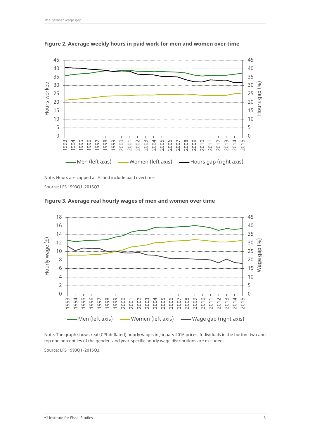

**Figure 2. Average weekly hours in paid work for men and women over time**

Note: Hours are capped at 70 and include paid overtime.

Source: LFS 1993Q1–2015Q3.



**Figure 3. Average real hourly wages of men and women over time**

Note: The graph shows real (CPI-deflated) hourly wages in January 2016 prices. Individuals in the bottom two and top one percentiles of the gender- and year-specific hourly wage distributions are excluded.

Source: LFS 1993Q1–2015Q3.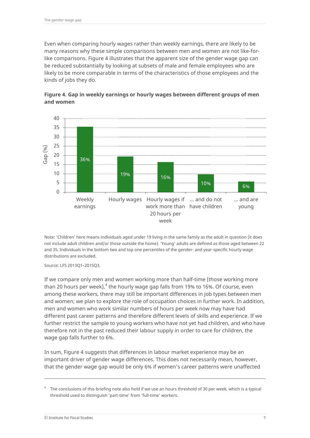Even when comparing hourly wages rather than weekly earnings, there are likely to be many reasons why these simple comparisons between men and women are not like-forlike comparisons. Figure 4 illustrates that the apparent size of the gender wage gap can be reduced substantially by looking at subsets of male and female employees who are likely to be more comparable in terms of the characteristics of those employees and the kinds of jobs they do.



**Figure 4. Gap in weekly earnings or hourly wages between different groups of men and women**

Note: 'Children' here means individuals aged under 19 living in the same family as the adult in question (it does not include adult children and/or those outside the home). 'Young' adults are defined as those aged between 22 and 35. Individuals in the bottom two and top one percentiles of the gender- and year-specific hourly wage distributions are excluded.

Source: LFS 2013Q1–2015Q3.

If we compare only men and women working more than half-time (those working more than 20 hours per week), $^4$  $^4$  the hourly wage gap falls from 19% to 16%. Of course, even among these workers, there may still be important differences in job types between men and women; we plan to explore the role of occupation choices in further work. In addition, men and women who work similar numbers of hours per week now may have had different past career patterns and therefore different levels of skills and experience. If we further restrict the sample to young workers who have not yet had children, and who have therefore not in the past reduced their labour supply in order to care for children, the wage gap falls further to 6%.

In sum, Figure 4 suggests that differences in labour market experience may be an important driver of gender wage differences. This does not necessarily mean, however, that the gender wage gap would be only 6% if women's career patterns were unaffected

<span id="page-7-0"></span>The conclusions of this briefing note also hold if we use an hours threshold of 30 per week, which is a typical threshold used to distinguish 'part-time' from 'full-time' workers.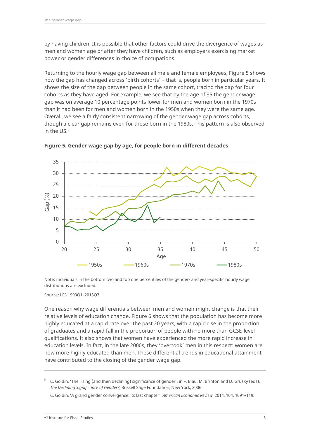by having children. It is possible that other factors could drive the divergence of wages as men and women age or after they have children, such as employers exercising market power or gender differences in choice of occupations.

Returning to the hourly wage gap between all male and female employees, Figure 5 shows how the gap has changed across 'birth cohorts' – that is, people born in particular years. It shows the size of the gap between people in the same cohort, tracing the gap for four cohorts as they have aged. For example, we see that by the age of 35 the gender wage gap was on average 10 percentage points lower for men and women born in the 1970s than it had been for men and women born in the 1950s when they were the same age. Overall, we see a fairly consistent narrowing of the gender wage gap across cohorts, though a clear gap remains even for those born in the 1980s. This pattern is also observed in the US.<sup>[5](#page-8-0)</sup>



**Figure 5. Gender wage gap by age, for people born in different decades**

Note: Individuals in the bottom two and top one percentiles of the gender- and year-specific hourly wage distributions are excluded.

Source: LFS 1993Q1–2015Q3.

One reason why wage differentials between men and women might change is that their relative levels of education change. Figure 6 shows that the population has become more highly educated at a rapid rate over the past 20 years, with a rapid rise in the proportion of graduates and a rapid fall in the proportion of people with no more than GCSE-level qualifications. It also shows that women have experienced the more rapid increase in education levels. In fact, in the late 2000s, they 'overtook' men in this respect: women are now more highly educated than men. These differential trends in educational attainment have contributed to the closing of the gender wage gap.

<span id="page-8-0"></span><sup>5</sup> C. Goldin, 'The rising (and then declining) significance of gender', in F. Blau, M. Brinton and D. Grusky (eds), *The Declining Significance of Gender?*, Russell Sage Foundation, New York, 2006.

C. Goldin, 'A grand gender convergence: its last chapter', *American Economic Review*, 2014, 104, 1091–119.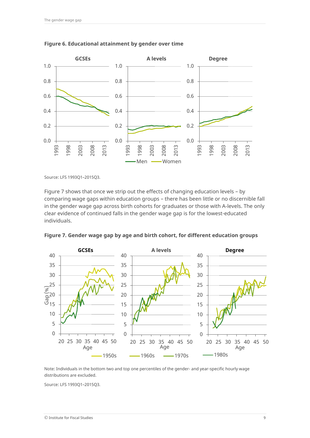

#### **Figure 6. Educational attainment by gender over time**

Source: LFS 1993Q1–2015Q3.

Figure 7 shows that once we strip out the effects of changing education levels – by comparing wage gaps within education groups – there has been little or no discernible fall in the gender wage gap across birth cohorts for graduates or those with A-levels. The only clear evidence of continued falls in the gender wage gap is for the lowest-educated individuals.



**Figure 7. Gender wage gap by age and birth cohort, for different education groups**

Note: Individuals in the bottom two and top one percentiles of the gender- and year-specific hourly wage distributions are excluded.

Source: LFS 1993Q1–2015Q3.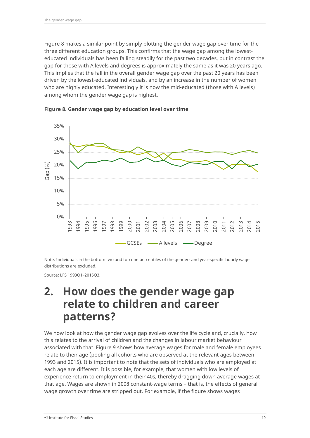Figure 8 makes a similar point by simply plotting the gender wage gap over time for the three different education groups. This confirms that the wage gap among the lowesteducated individuals has been falling steadily for the past two decades, but in contrast the gap for those with A levels and degrees is approximately the same as it was 20 years ago. This implies that the fall in the overall gender wage gap over the past 20 years has been driven by the lowest-educated individuals, and by an increase in the number of women who are highly educated. Interestingly it is now the mid-educated (those with A levels) among whom the gender wage gap is highest.



**Figure 8. Gender wage gap by education level over time**

Note: Individuals in the bottom two and top one percentiles of the gender- and year-specific hourly wage distributions are excluded.

Source: LFS 1993Q1–2015Q3.

### **2. How does the gender wage gap relate to children and career patterns?**

We now look at how the gender wage gap evolves over the life cycle and, crucially, how this relates to the arrival of children and the changes in labour market behaviour associated with that. Figure 9 shows how average wages for male and female employees relate to their age (pooling all cohorts who are observed at the relevant ages between 1993 and 2015). It is important to note that the sets of individuals who are employed at each age are different. It is possible, for example, that women with low levels of experience return to employment in their 40s, thereby dragging down average wages at that age. Wages are shown in 2008 constant-wage terms – that is, the effects of general wage growth over time are stripped out. For example, if the figure shows wages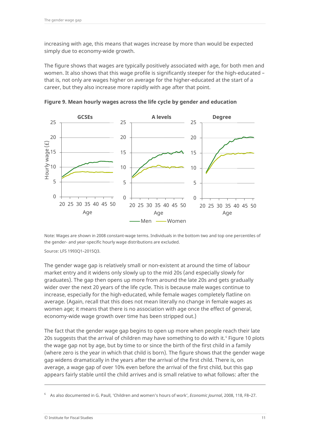increasing with age, this means that wages increase by more than would be expected simply due to economy-wide growth.

The figure shows that wages are typically positively associated with age, for both men and women. It also shows that this wage profile is significantly steeper for the high-educated – that is, not only are wages higher on average for the higher-educated at the start of a career, but they also increase more rapidly with age after that point.



**Figure 9. Mean hourly wages across the life cycle by gender and education**

Note: Wages are shown in 2008 constant-wage terms. Individuals in the bottom two and top one percentiles of the gender- and year-specific hourly wage distributions are excluded.

Source: LFS 1993Q1–2015Q3.

The gender wage gap is relatively small or non-existent at around the time of labour market entry and it widens only slowly up to the mid 20s (and especially slowly for graduates). The gap then opens up more from around the late 20s and gets gradually wider over the next 20 years of the life cycle. This is because male wages continue to increase, especially for the high-educated, while female wages completely flatline on average. (Again, recall that this does not mean literally no change in female wages as women age; it means that there is no association with age once the effect of general, economy-wide wage growth over time has been stripped out.)

The fact that the gender wage gap begins to open up more when people reach their late 20s suggests that the arrival of children may have something to do with it.<sup>[6](#page-11-0)</sup> Figure 10 plots the wage gap not by age, but by time to or since the birth of the first child in a family (where zero is the year in which that child is born). The figure shows that the gender wage gap widens dramatically in the years after the arrival of the first child. There is, on average, a wage gap of over 10% even before the arrival of the first child, but this gap appears fairly stable until the child arrives and is small relative to what follows: after the

<span id="page-11-0"></span><sup>6</sup> As also documented in G. Paull, 'Children and women's hours of work', *Economic Journal*, 2008, 118, F8–27.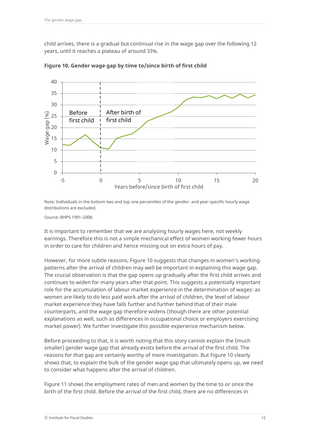child arrives, there is a gradual but continual rise in the wage gap over the following 12 years, until it reaches a plateau of around 33%.



**Figure 10. Gender wage gap by time to/since birth of first child**

Note: Individuals in the bottom two and top one percentiles of the gender- and year-specific hourly wage distributions are excluded.

Source: BHPS 1991–2008.

It is important to remember that we are analysing hourly wages here, not weekly earnings. Therefore this is not a simple mechanical effect of women working fewer hours in order to care for children and hence missing out on extra hours of pay.

However, for more subtle reasons, Figure 10 suggests that changes in women's working patterns after the arrival of children may well be important in explaining this wage gap. The crucial observation is that the gap opens up gradually after the first child arrives and continues to widen for many years after that point. This suggests a potentially important role for the accumulation of labour market experience in the determination of wages: as women are likely to do less paid work after the arrival of children, the level of labour market experience they have falls further and further behind that of their male counterparts, and the wage gap therefore widens (though there are other potential explanations as well, such as differences in occupational choice or employers exercising market power). We further investigate this possible experience mechanism below.

Before proceeding to that, it is worth noting that this story cannot explain the (much smaller) gender wage gap that already exists before the arrival of the first child. The reasons for that gap are certainly worthy of more investigation. But Figure 10 clearly shows that, to explain the bulk of the gender wage gap that ultimately opens up, we need to consider what happens after the arrival of children.

Figure 11 shows the employment rates of men and women by the time to or since the birth of the first child. Before the arrival of the first child, there are no differences in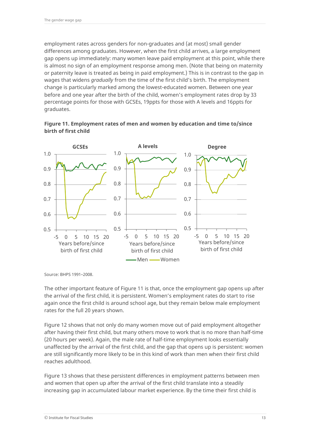employment rates across genders for non-graduates and (at most) small gender differences among graduates. However, when the first child arrives, a large employment gap opens up immediately: many women leave paid employment at this point, while there is almost no sign of an employment response among men. (Note that being on maternity or paternity leave is treated as being in paid employment.) This is in contrast to the gap in wages that widens *gradually* from the time of the first child's birth. The employment change is particularly marked among the lowest-educated women. Between one year before and one year after the birth of the child, women's employment rates drop by 33 percentage points for those with GCSEs, 19ppts for those with A levels and 16ppts for graduates.





Source: BHPS 1991–2008.

The other important feature of Figure 11 is that, once the employment gap opens up after the arrival of the first child, it is persistent. Women's employment rates do start to rise again once the first child is around school age, but they remain below male employment rates for the full 20 years shown.

Figure 12 shows that not only do many women move out of paid employment altogether after having their first child, but many others move to work that is no more than half-time (20 hours per week). Again, the male rate of half-time employment looks essentially unaffected by the arrival of the first child, and the gap that opens up is persistent: women are still significantly more likely to be in this kind of work than men when their first child reaches adulthood.

Figure 13 shows that these persistent differences in employment patterns between men and women that open up after the arrival of the first child translate into a steadily increasing gap in accumulated labour market experience. By the time their first child is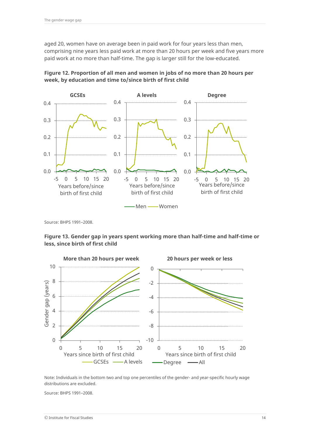aged 20, women have on average been in paid work for four years less than men, comprising nine years less paid work at more than 20 hours per week and five years more paid work at no more than half-time. The gap is larger still for the low-educated.





Source: BHPS 1991–2008.

**Figure 13. Gender gap in years spent working more than half-time and half-time or less, since birth of first child**



Note: Individuals in the bottom two and top one percentiles of the gender- and year-specific hourly wage distributions are excluded.

Source: BHPS 1991–2008.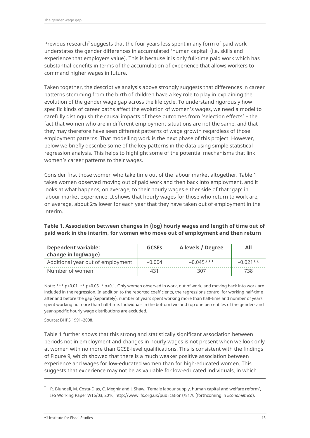Previous research<sup>[7](#page-15-0)</sup> suggests that the four years less spent in any form of paid work understates the gender differences in accumulated 'human capital' (i.e. skills and experience that employers value). This is because it is only full-time paid work which has substantial benefits in terms of the accumulation of experience that allows workers to command higher wages in future.

Taken together, the descriptive analysis above strongly suggests that differences in career patterns stemming from the birth of children have a key role to play in explaining the evolution of the gender wage gap across the life cycle. To understand rigorously how specific kinds of career paths affect the evolution of women's wages, we need a model to carefully distinguish the causal impacts of these outcomes from 'selection effects' – the fact that women who are in different employment situations are not the same, and that they may therefore have seen different patterns of wage growth regardless of those employment patterns. That modelling work is the next phase of this project. However, below we briefly describe some of the key patterns in the data using simple statistical regression analysis. This helps to highlight some of the potential mechanisms that link women's career patterns to their wages.

Consider first those women who take time out of the labour market altogether. Table 1 takes women observed moving out of paid work and then back into employment, and it looks at what happens, on average, to their hourly wages either side of that 'gap' in labour market experience. It shows that hourly wages for those who return to work are, on average, about 2% lower for each year that they have taken out of employment in the interim.

#### **Table 1. Association between changes in (log) hourly wages and length of time out of paid work in the interim, for women who move out of employment and then return**

| <b>Dependent variable:</b><br>change in log(wage) | <b>GCSEs</b> | A levels / Degree | All        |
|---------------------------------------------------|--------------|-------------------|------------|
| Additional year out of employment                 | $-0.004$     | $-0.045***$       | $-0.021**$ |
| Number of women                                   | 431          | 307               | 738        |

Note: \*\*\* p<0.01, \*\* p<0.05, \* p<0.1. Only women observed in work, out of work, and moving back into work are included in the regression. In addition to the reported coefficients, the regressions control for working half-time after and before the gap (separately), number of years spent working more than half-time and number of years spent working no more than half-time. Individuals in the bottom two and top one percentiles of the gender- and year-specific hourly wage distributions are excluded.

Source: BHPS 1991–2008.

Table 1 further shows that this strong and statistically significant association between periods not in employment and changes in hourly wages is not present when we look only at women with no more than GCSE-level qualifications. This is consistent with the findings of Figure 9, which showed that there is a much weaker positive association between experience and wages for low-educated women than for high-educated women. This suggests that experience may not be as valuable for low-educated individuals, in which

<span id="page-15-0"></span> $7$  R. Blundell, M. Costa-Dias, C. Meghir and J. Shaw, 'Female labour supply, human capital and welfare reform', IFS Working Paper W16/03, 2016[, http://www.ifs.org.uk/publications/8170](http://www.ifs.org.uk/publications/8170) (forthcoming in *Econometrica*).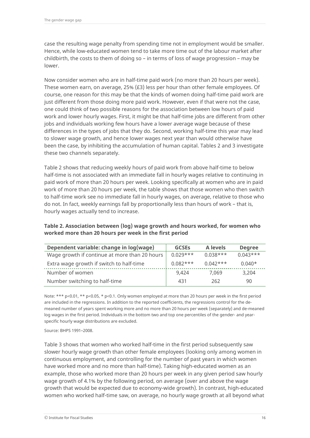case the resulting wage penalty from spending time not in employment would be smaller. Hence, while low-educated women tend to take more time out of the labour market after childbirth, the costs to them of doing so – in terms of loss of wage progression – may be lower.

Now consider women who are in half-time paid work (no more than 20 hours per week). These women earn, on average, 25% (£3) less per hour than other female employees. Of course, one reason for this may be that the kinds of women doing half-time paid work are just different from those doing more paid work. However, even if that were not the case, one could think of two possible reasons for the association between low hours of paid work and lower hourly wages. First, it might be that half-time jobs are different from other jobs and individuals working few hours have a lower average wage because of these differences in the types of jobs that they do. Second, working half-time this year may lead to slower wage growth, and hence lower wages next year than would otherwise have been the case, by inhibiting the accumulation of human capital. Tables 2 and 3 investigate these two channels separately.

Table 2 shows that reducing weekly hours of paid work from above half-time to below half-time is not associated with an immediate fall in hourly wages relative to continuing in paid work of more than 20 hours per week. Looking specifically at women who are in paid work of more than 20 hours per week, the table shows that those women who then switch to half-time work see no immediate fall in hourly wages, on average, relative to those who do not. In fact, weekly earnings fall by proportionally less than hours of work – that is, hourly wages actually tend to increase.

| Dependent variable: change in log(wage)       | <b>GCSEs</b> | A levels   | <b>Degree</b> |
|-----------------------------------------------|--------------|------------|---------------|
| Wage growth if continue at more than 20 hours | $0.029***$   | $0.038***$ | $0.043***$    |
| Extra wage growth if switch to half-time      | $0.082***$   | $0.042***$ | $0.040*$      |
| Number of women                               | 9.424        | 7.069      | 3.204         |

Number switching to half-time  $\vert$  431 262 90

#### **Table 2. Association between (log) wage growth and hours worked, for women who worked more than 20 hours per week in the first period**

Note: \*\*\* p<0.01, \*\* p<0.05, \* p<0.1. Only women employed at more than 20 hours per week in the first period are included in the regressions. In addition to the reported coefficients, the regressions control for the demeaned number of years spent working more and no more than 20 hours per week (separately) and de-meaned log wages in the first period. Individuals in the bottom two and top one percentiles of the gender- and yearspecific hourly wage distributions are excluded.

Source: BHPS 1991–2008.

Table 3 shows that women who worked half-time in the first period subsequently saw slower hourly wage growth than other female employees (looking only among women in continuous employment, and controlling for the number of past years in which women have worked more and no more than half-time). Taking high-educated women as an example, those who worked more than 20 hours per week in any given period saw hourly wage growth of 4.1% by the following period, on average (over and above the wage growth that would be expected due to economy-wide growth). In contrast, high-educated women who worked half-time saw, on average, no hourly wage growth at all beyond what